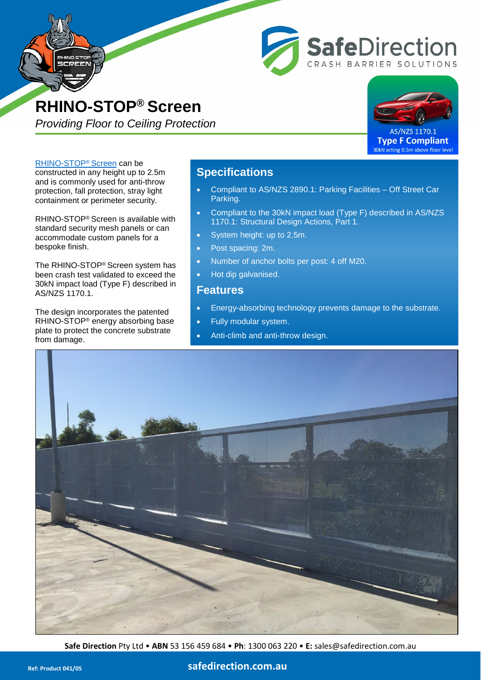



**SafeDirection** 

ASH BARRIER SOLUTIONS

**Type F Compliant** 30kN acting 0.5m above floor level

[RHINO-STOP® Screen](http://www.safedirection.com.au/products/car-park-barriers/rhino-stop-screen/) can be constructed in any height up to 2.5m and is commonly used for anti-throw protection, fall protection, stray light containment or perimeter security.

CREEN

RHINO-STOP® Screen is available with standard security mesh panels or can accommodate custom panels for a bespoke finish.

The RHINO-STOP® Screen system has been crash test validated to exceed the 30kN impact load (Type F) described in AS/NZS 1170.1.

The design incorporates the patented RHINO-STOP® energy absorbing base plate to protect the concrete substrate from damage.

## **Specifications**

- Compliant to AS/NZS 2890.1: Parking Facilities Off Street Car Parking.
- Compliant to the 30kN impact load (Type F) described in AS/NZS 1170.1: Structural Design Actions, Part 1.
- System height: up to 2.5m.
- Post spacing: 2m.
- Number of anchor bolts per post: 4 off M20.
- Hot dip galvanised.

## **Features**

- Energy-absorbing technology prevents damage to the substrate.
- Fully modular system.
- Anti-climb and anti-throw design.



**Safe Direction** Pty Ltd • **ABN** 53 156 459 684 • **Ph**: [1300 063 220](tel:1300063220) • **E:** sales@safedirection.com.au

## **Ref: Product 041/05 [safedirection.com.au](https://www.safedirection.com.au/)**